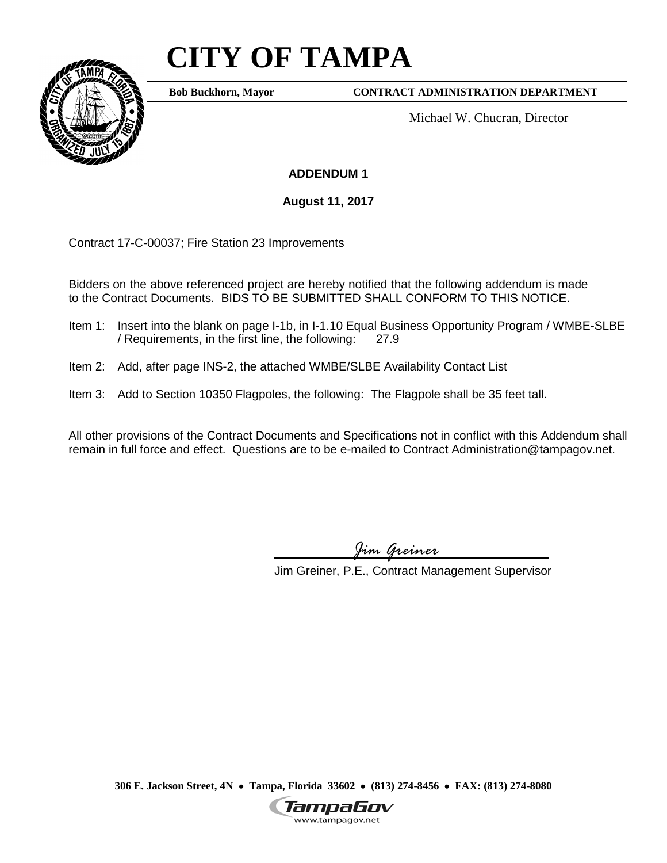## **CITY OF TAMPA**



**Bob Buckhorn, Mayor**

**CONTRACT ADMINISTRATION DEPARTMENT**

Michael W. Chucran, Director

**ADDENDUM 1**

**August 11, 2017**

Contract 17-C-00037; Fire Station 23 Improvements

Bidders on the above referenced project are hereby notified that the following addendum is made to the Contract Documents. BIDS TO BE SUBMITTED SHALL CONFORM TO THIS NOTICE.

- Item 1: Insert into the blank on page I-1b, in I-1.10 Equal Business Opportunity Program / WMBE-SLBE / Requirements, in the first line, the following: 27.9
- Item 2: Add, after page INS-2, the attached WMBE/SLBE Availability Contact List
- Item 3: Add to Section 10350 Flagpoles, the following: The Flagpole shall be 35 feet tall.

All other provisions of the Contract Documents and Specifications not in conflict with this Addendum shall remain in full force and effect. Questions are to be e-mailed to Contract Administration@tampagov.net.

*Jim Greiner*

Jim Greiner, P.E., Contract Management Supervisor

**306 E. Jackson Street, 4N** • **Tampa, Florida 33602** • **(813) 274-8456** • **FAX: (813) 274-8080**

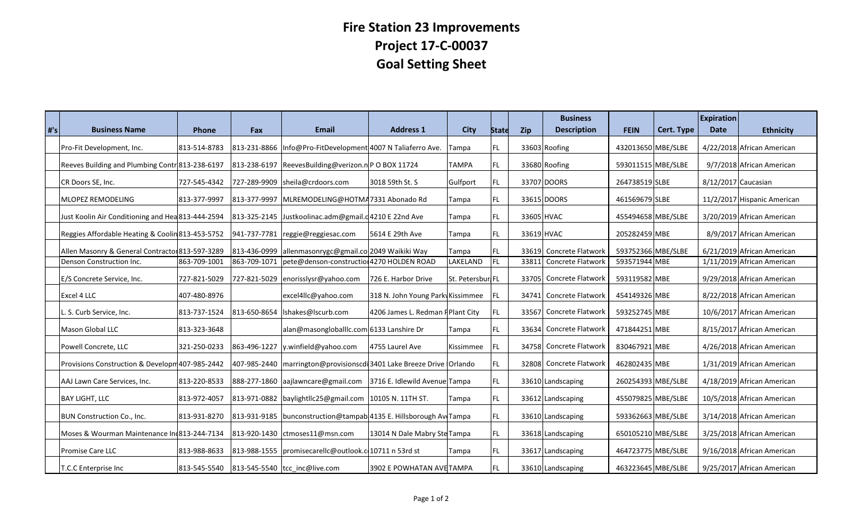## **Fire Station 23 Improvements Project 17-C-00037 Goal Setting Sheet**

| #'s | <b>Business Name</b>                              | Phone        | Fax | <b>Email</b>                                                             | <b>Address 1</b>                 | <b>City</b>      | <b>State</b> | <b>Zip</b> | <b>Business</b><br><b>Description</b> | <b>FEIN</b>        | Cert. Type | <b>Expiration</b><br><b>Date</b> | <b>Ethnicity</b>            |
|-----|---------------------------------------------------|--------------|-----|--------------------------------------------------------------------------|----------------------------------|------------------|--------------|------------|---------------------------------------|--------------------|------------|----------------------------------|-----------------------------|
|     | Pro-Fit Development, Inc.                         | 813-514-8783 |     | 813-231-8866 Info@Pro-FitDevelopment 4007 N Taliaferro Ave.              |                                  | Tampa            | FL.          |            | 33603 Roofing                         | 432013650 MBE/SLBE |            |                                  | 4/22/2018 African American  |
|     | Reeves Building and Plumbing Contr 813-238-6197   |              |     | 813-238-6197 ReevesBuilding@verizon.n P O BOX 11724                      |                                  | <b>TAMPA</b>     | FL.          |            | 33680 Roofing                         | 593011515 MBE/SLBE |            |                                  | 9/7/2018 African American   |
|     | CR Doors SE, Inc.                                 | 727-545-4342 |     | 727-289-9909 sheila@crdoors.com                                          | 3018 59th St. S                  | Gulfport         | FL.          |            | 33707 DOORS                           | 264738519 SLBE     |            | 8/12/2017 Caucasian              |                             |
|     | <b>MLOPEZ REMODELING</b>                          | 813-377-9997 |     | 813-377-9997 MLREMODELING@HOTMA7331 Abonado Rd                           |                                  | Tampa            | FL.          |            | 33615 DOORS                           | 461569679 SLBE     |            |                                  | 11/2/2017 Hispanic American |
|     | Just Koolin Air Conditioning and Hea 813-444-2594 |              |     | 813-325-2145 Justkoolinac.adm@gmail.d4210 E 22nd Ave                     |                                  | Tampa            | FL.          | 33605 HVAC |                                       | 455494658 MBE/SLBE |            |                                  | 3/20/2019 African American  |
|     | Reggies Affordable Heating & Coolin 813-453-5752  |              |     | 941-737-7781 reggie@reggiesac.com                                        | 5614 E 29th Ave                  | Tampa            | FL.          | 33619 HVAC |                                       | 205282459 MBE      |            |                                  | 8/9/2017 African American   |
|     | Allen Masonry & General Contractor 813-597-3289   |              |     | 813-436-0999 allenmasonrygc@gmail.co 2049 Waikiki Way                    |                                  | Tampa            |              |            | 33619 Concrete Flatwork               | 593752366 MBE/SLBE |            |                                  | 6/21/2019 African American  |
|     | Denson Construction Inc.                          | 863-709-1001 |     | 863-709-1071   pete@denson-constructio 4270 HOLDEN ROAD                  |                                  | LAKELAND         | FL.          | 33811      | Concrete Flatworl                     | 593571944 MBE      |            |                                  | 1/11/2019 African American  |
|     | E/S Concrete Service, Inc.                        | 727-821-5029 |     | 727-821-5029 enorisslysr@yahoo.com                                       | 726 E. Harbor Drive              | St. Petersbur FL |              |            | 33705 Concrete Flatwork               | 593119582 MBE      |            |                                  | 9/29/2018 African American  |
|     | Excel 4 LLC                                       | 407-480-8976 |     | excel4llc@yahoo.com                                                      | 318 N. John Young Park Kissimmee |                  |              | 34741      | Concrete Flatworl                     | 454149326 MBE      |            |                                  | 8/22/2018 African American  |
|     | L. S. Curb Service, Inc.                          | 813-737-1524 |     | 813-650-8654   Ishakes@Iscurb.com                                        | 4206 James L. Redman PPlant City |                  |              | 33567      | Concrete Flatworl                     | 593252745 MBE      |            |                                  | 10/6/2017 African American  |
|     | Mason Global LLC                                  | 813-323-3648 |     | alan@masongloballlc.com 6133 Lanshire Dr                                 |                                  | Tampa            |              |            | 33634 Concrete Flatworl               | 471844251 MBE      |            |                                  | 8/15/2017 African American  |
|     | Powell Concrete, LLC                              | 321-250-0233 |     | 863-496-1227 y.winfield@yahoo.com                                        | 4755 Laurel Ave                  | Kissimmee        |              | 34758      | Concrete Flatworl                     | 830467921 MBE      |            |                                  | 4/26/2018 African American  |
|     | Provisions Construction & Developm 407-985-2442   |              |     | 407-985-2440   marrington@provisionscdi 3401 Lake Breeze Drive   Orlando |                                  |                  |              |            | 32808 Concrete Flatwork               | 462802435 MBE      |            |                                  | 1/31/2019 African American  |
|     | AAJ Lawn Care Services, Inc.                      | 813-220-8533 |     | 888-277-1860 aajlawncare@gmail.com 3716 E. Idlewild Avenue Tampa         |                                  |                  | FL           |            | 33610 Landscaping                     | 260254393 MBE/SLBE |            |                                  | 4/18/2019 African American  |
|     | <b>BAY LIGHT, LLC</b>                             | 813-972-4057 |     | 813-971-0882   baylightllc25@gmail.com   10105 N. 11TH ST.               |                                  | Tampa            | FL.          |            | 33612 Landscaping                     | 455079825 MBE/SLBE |            |                                  | 10/5/2018 African American  |
|     | BUN Construction Co., Inc.                        | 813-931-8270 |     | 813-931-9185   bunconstruction@tampab 4135 E. Hillsborough Av Tampa      |                                  |                  | FL.          |            | 33610 Landscaping                     | 593362663 MBE/SLBE |            |                                  | 3/14/2018 African American  |
|     | Moses & Wourman Maintenance In 813-244-7134       |              |     | 813-920-1430 ctmoses11@msn.com                                           | 13014 N Dale Mabry Ste Tampa     |                  | FL.          |            | 33618 Landscaping                     | 650105210 MBE/SLBE |            |                                  | 3/25/2018 African American  |
|     | Promise Care LLC                                  | 813-988-8633 |     | 813-988-1555   promisecarellc@outlook.c 10711 n 53rd st                  |                                  | Tampa            | FL           |            | 33617 Landscaping                     | 464723775 MBE/SLBE |            |                                  | 9/16/2018 African American  |
|     | T.C.C Enterprise Inc                              | 813-545-5540 |     | 813-545-5540 tcc inc@live.com                                            | 3902 E POWHATAN AVETAMPA         |                  |              |            | 33610 Landscaping                     | 463223645 MBE/SLBE |            |                                  | 9/25/2017 African American  |